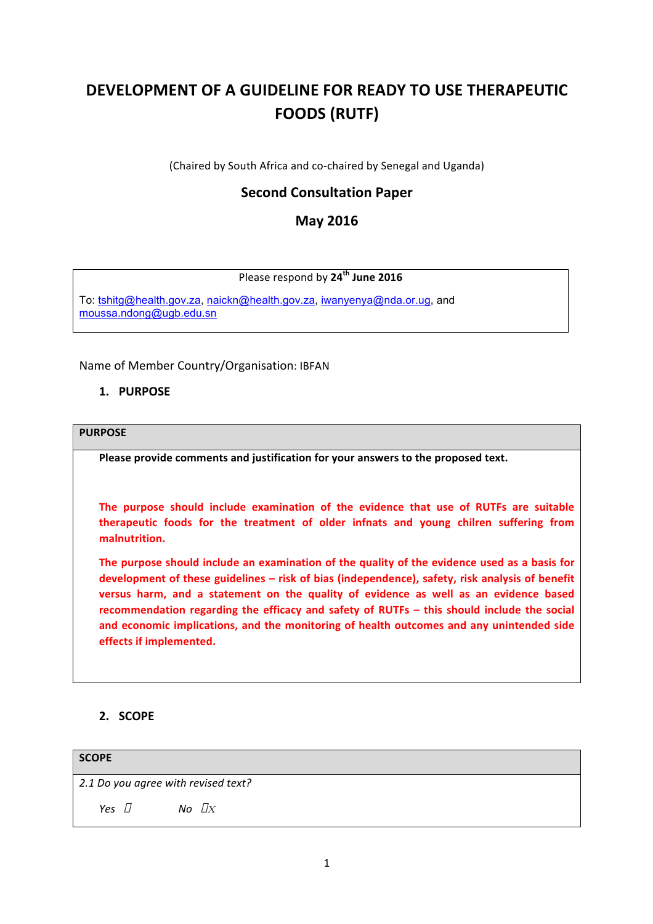# **DEVELOPMENT OF A GUIDELINE FOR READY TO USE THERAPEUTIC FOODS (RUTF)**

(Chaired by South Africa and co-chaired by Senegal and Uganda)

# **Second Consultation Paper**

# **May 2016**

# Please respond by **24th June 2016**

To: [tshitg@health.gov.za](mailto:tshitg@health.gov.za), [naickn@health.gov.za](mailto:naickn@health.gov.za), [iwanyenya@nda.or.ug](mailto:iwanyenya@nda.or.ug), and [moussa.ndong@ugb.edu.sn](mailto:moussa.ndong@ugb.edu.sn)

Name of Member Country/Organisation: IBFAN

#### **1. PURPOSE**

#### **PURPOSE**

Please provide comments and justification for your answers to the proposed text.

The purpose should include examination of the evidence that use of RUTFs are suitable **therapeutic** foods for the treatment of older infnats and young chilren suffering from **malnutrition.** 

The purpose should include an examination of the quality of the evidence used as a basis for development of these guidelines – risk of bias (independence), safety, risk analysis of benefit versus harm, and a statement on the quality of evidence as well as an evidence based **recommendation regarding the efficacy and safety of RUTFs – this should include the social** and economic implications, and the monitoring of health outcomes and any unintended side **effects if implemented.** 

## **2. SCOPE**

| <b>SCOPE</b>                        |                  |
|-------------------------------------|------------------|
| 2.1 Do you agree with revised text? |                  |
| Yes $\Box$                          | No $\mathbb{D}X$ |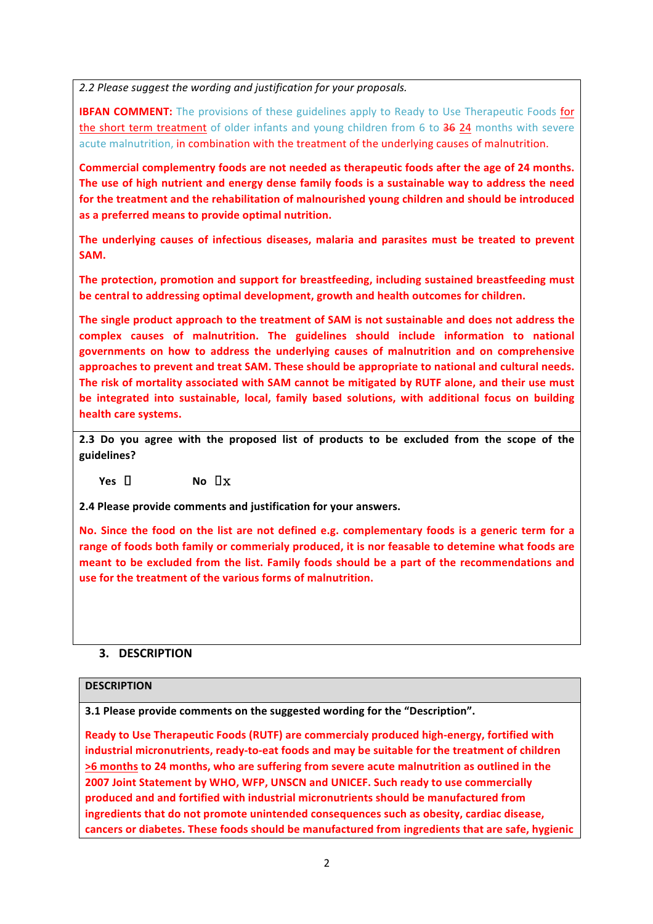2.2 Please suggest the wording and justification for your proposals.

**IBFAN COMMENT:** The provisions of these guidelines apply to Ready to Use Therapeutic Foods for the short term treatment of older infants and young children from 6 to 36 24 months with severe acute malnutrition, in combination with the treatment of the underlying causes of malnutrition.

Commercial complementry foods are not needed as therapeutic foods after the age of 24 months. The use of high nutrient and energy dense family foods is a sustainable way to address the need for the treatment and the rehabilitation of malnourished young children and should be introduced as a preferred means to provide optimal nutrition.

The underlying causes of infectious diseases, malaria and parasites must be treated to prevent **SAM.**

The protection, promotion and support for breastfeeding, including sustained breastfeeding must be central to addressing optimal development, growth and health outcomes for children.

The single product approach to the treatment of SAM is not sustainable and does not address the **complex causes of malnutrition. The guidelines should include information to national governments on how to address the underlying causes of malnutrition and on comprehensive**  approaches to prevent and treat SAM. These should be appropriate to national and cultural needs. The risk of mortality associated with SAM cannot be mitigated by RUTF alone, and their use must be integrated into sustainable, local, family based solutions, with additional focus on building health care systems.

**2.3** Do you agree with the proposed list of products to be excluded from the scope of the **guidelines?**

 $Yes \quad \Box$  **No**  $\Box x$ 

**2.4 Please provide comments and justification for your answers.**

No. Since the food on the list are not defined e.g. complementary foods is a generic term for a range of foods both family or commerialy produced, it is nor feasable to detemine what foods are meant to be excluded from the list. Family foods should be a part of the recommendations and use for the treatment of the various forms of malnutrition.

## **3. DESCRIPTION**

#### **DESCRIPTION**

**3.1 Please provide comments on the suggested wording for the "Description".** 

Ready to Use Therapeutic Foods (RUTF) are commercialy produced high-energy, fortified with industrial micronutrients, ready-to-eat foods and may be suitable for the treatment of children >6 months to 24 months, who are suffering from severe acute malnutrition as outlined in the **2007 Joint Statement by WHO, WFP, UNSCN and UNICEF, Such ready to use commercially** produced and and fortified with industrial micronutrients should be manufactured from ingredients that do not promote unintended consequences such as obesity, cardiac disease, cancers or diabetes. These foods should be manufactured from ingredients that are safe, hygienic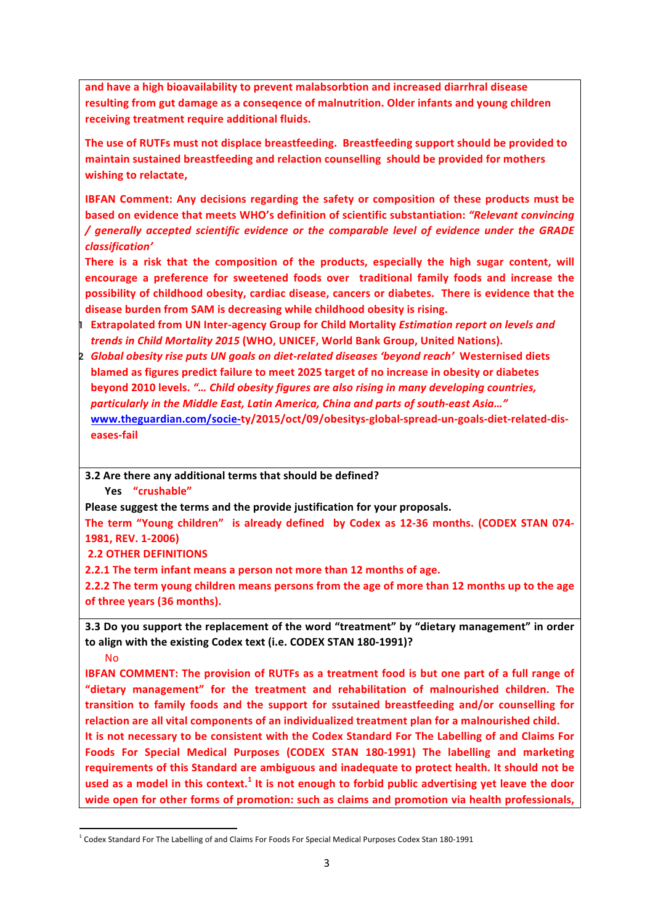and have a high bioavailability to prevent malabsorbtion and increased diarrhral disease resulting from gut damage as a conseqence of malnutrition. Older infants and young children receiving treatment require additional fluids.

The use of RUTFs must not displace breastfeeding. Breastfeeding support should be provided to maintain sustained breastfeeding and relaction counselling should be provided for mothers **wishing to relactate,** 

**IBFAN Comment: Any decisions regarding the safety or composition of these products must be based on evidence that meets WHO's definition of scientific substantiation: "Relevant convincing** */ generally accepted scientific evidence or the comparable level of evidence under the GRADE classification'*

There is a risk that the composition of the products, especially the high sugar content, will **encourage a preference for sweetened foods over traditional family foods and increase the**  possibility of childhood obesity, cardiac disease, cancers or diabetes. There is evidence that the disease burden from SAM is decreasing while childhood obesity is rising.

**11 Extrapolated from UN Inter-agency Group for Child Mortality** *Estimation report on levels and trends in Child Mortality 2015* (WHO, UNICEF, World Bank Group, United Nations).

**2** *Global obesity rise puts UN goals on diet-related diseases 'beyond reach'* **Westernised diets blamed as figures predict failure to meet 2025 target of no increase in obesity or diabetes beyond 2010 levels.** "... Child obesity figures are also rising in many developing countries, particularly in the Middle East, Latin America, China and parts of south-east Asia..." **[www.theguardian.com/socie-](http://www.theguardian.com/socie-)ty/2015/oct/09/obesitys-global-spread-un-goals-diet-related-diseases-fail**

**3.2** Are there any additional terms that should be defined?

**Yes "crushable"** 

Please suggest the terms and the provide justification for your proposals.

The term "Young children" is already defined by Codex as 12-36 months. (CODEX STAN 074-**1981, REV. 1-2006)**

**2.2 OTHER DEFINITIONS** 

<u> 1989 - Jan Samuel Barbara, margaret e</u>

**2.2.1** The term infant means a person not more than 12 months of age.

**2.2.2** The term young children means persons from the age of more than 12 months up to the age of three years (36 months).

**3.3** Do you support the replacement of the word "treatment" by "dietary management" in order to align with the existing Codex text (i.e. CODEX STAN 180-1991)?

No 

**IBFAN COMMENT:** The provision of RUTFs as a treatment food is but one part of a full range of "dietary management" for the treatment and rehabilitation of malnourished children. The transition to family foods and the support for ssutained breastfeeding and/or counselling for relaction are all vital components of an individualized treatment plan for a malnourished child.

It is not necessary to be consistent with the Codex Standard For The Labelling of and Claims For Foods For Special Medical Purposes (CODEX STAN 180-1991) The labelling and marketing requirements of this Standard are ambiguous and inadequate to protect health. It should not be used as a model in this context.<sup>1</sup> It is not enough to forbid public advertising yet leave the door wide open for other forms of promotion: such as claims and promotion via health professionals.

 $1$  Codex Standard For The Labelling of and Claims For Foods For Special Medical Purposes Codex Stan 180-1991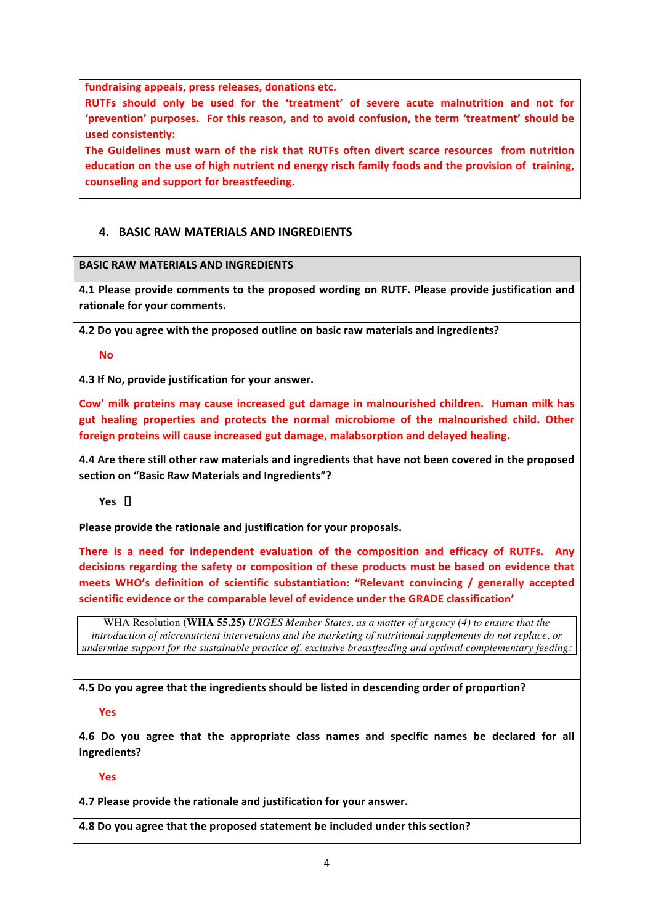fundraising appeals, press releases, donations etc.

RUTFs should only be used for the 'treatment' of severe acute malnutrition and not for 'prevention' purposes. For this reason, and to avoid confusion, the term 'treatment' should be **used consistently:** 

**The Guidelines must warn of the risk that RUTFs often divert scarce resources from nutrition education** on the use of high nutrient nd energy risch family foods and the provision of training, counseling and support for breastfeeding.

## **4. BASIC RAW MATERIALS AND INGREDIENTS**

# **BASIC RAW MATERIALS AND INGREDIENTS**

**4.1 Please provide comments to the proposed wording on RUTF. Please provide justification and** rationale for your comments.

**4.2** Do you agree with the proposed outline on basic raw materials and ingredients?

**No** 

**4.3 If No, provide justification for your answer.** 

Cow' milk proteins may cause increased gut damage in malnourished children. Human milk has gut healing properties and protects the normal microbiome of the malnourished child. Other foreign proteins will cause increased gut damage, malabsorption and delayed healing.

**4.4** Are there still other raw materials and ingredients that have not been covered in the proposed section on "Basic Raw Materials and Ingredients"?

Yes  $\Box$ 

Please provide the rationale and justification for your proposals.

**There** is a need for independent evaluation of the composition and efficacy of RUTFs. Any decisions regarding the safety or composition of these products must be based on evidence that meets WHO's definition of scientific substantiation: "Relevant convincing / generally accepted scientific evidence or the comparable level of evidence under the GRADE classification'

WHA Resolution **(WHA 55.25)** *URGES Member States, as a matter of urgency (4) to ensure that the introduction of micronutrient interventions and the marketing of nutritional supplements do not replace, or undermine support for the sustainable practice of, exclusive breastfeeding and optimal complementary feeding;*

**4.5** Do you agree that the ingredients should be listed in descending order of proportion?

**Yes** 

**4.6** Do you agree that the appropriate class names and specific names be declared for all **ingredients?**

**Yes** 

**4.7 Please provide the rationale and justification for your answer.** 

**4.8 Do you agree that the proposed statement be included under this section?**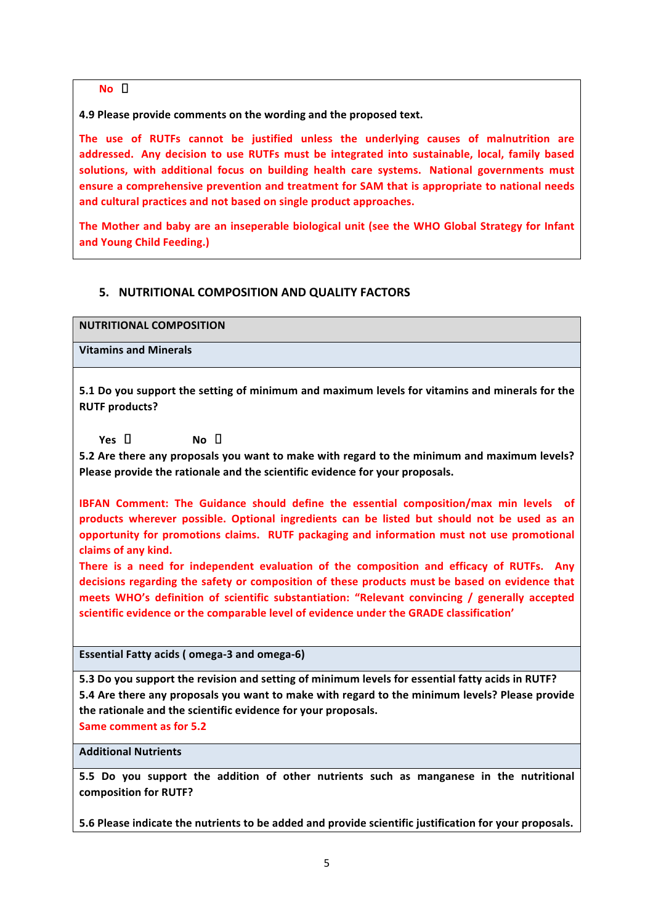$N$ **O**  $\Box$ 

**4.9 Please provide comments on the wording and the proposed text.** 

The use of RUTFs cannot be justified unless the underlying causes of malnutrition are addressed. Any decision to use RUTFs must be integrated into sustainable, local, family based solutions, with additional focus on building health care systems. National governments must **ensure a comprehensive prevention and treatment for SAM that is appropriate to national needs** and cultural practices and not based on single product approaches.

The Mother and baby are an inseperable biological unit (see the WHO Global Strategy for Infant **and Young Child Feeding.)**

# **5. NUTRITIONAL COMPOSITION AND QUALITY FACTORS**

**NUTRITIONAL COMPOSITION**

**Vitamins and Minerals**

**5.1** Do you support the setting of minimum and maximum levels for vitamins and minerals for the **RUTF** products?

 $Yes \quad \Box$  **No**  $\Box$ 

5.2 Are there any proposals you want to make with regard to the minimum and maximum levels? Please provide the rationale and the scientific evidence for your proposals.

**IBFAN** Comment: The Guidance should define the essential composition/max min levels of **products** wherever possible. Optional ingredients can be listed but should not be used as an **opportunity for promotions claims. RUTF packaging and information must not use promotional** claims of any kind.

**There** is a need for independent evaluation of the composition and efficacy of RUTFs. Any decisions regarding the safety or composition of these products must be based on evidence that meets WHO's definition of scientific substantiation: "Relevant convincing / generally accepted scientific evidence or the comparable level of evidence under the GRADE classification'

Essential Fatty acids (omega-3 and omega-6)

5.3 Do you support the revision and setting of minimum levels for essential fatty acids in RUTF? **5.4** Are there any proposals you want to make with regard to the minimum levels? Please provide the rationale and the scientific evidence for your proposals.

**Same comment as for 5.2** 

**Additional Nutrients**

**5.5** Do you support the addition of other nutrients such as manganese in the nutritional composition for **RUTF?** 

**5.6 Please indicate the nutrients to be added and provide scientific iustification for your proposals.**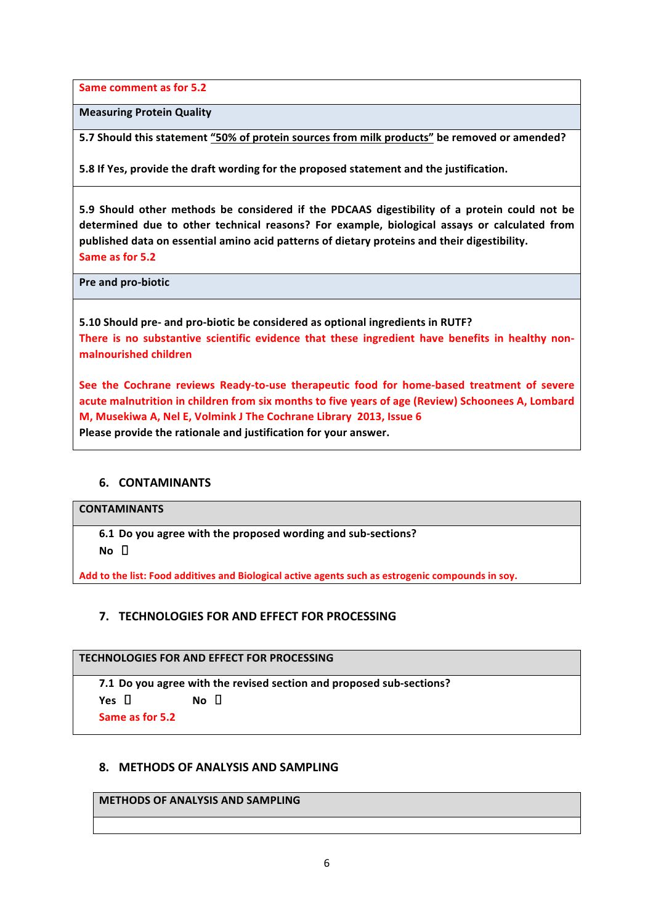**Same comment as for 5.2** 

**Measuring Protein Quality**

5.7 Should this statement "50% of protein sources from milk products" be removed or amended?

**5.8** If Yes, provide the draft wording for the proposed statement and the justification.

5.9 Should other methods be considered if the PDCAAS digestibility of a protein could not be determined due to other technical reasons? For example, biological assays or calculated from published data on essential amino acid patterns of dietary proteins and their digestibility. Same as for 5.2

**Pre and pro-biotic** 

**5.10 Should pre- and pro-biotic be considered as optional ingredients in RUTF?** There is no substantive scientific evidence that these ingredient have benefits in healthy non**malnourished children**

See the Cochrane reviews Ready-to-use therapeutic food for home-based treatment of severe acute malnutrition in children from six months to five years of age (Review) Schoonees A, Lombard **M, Musekiwa A, Nel E, Volmink J The Cochrane Library 2013, Issue 6** Please provide the rationale and justification for your answer.

## **6. CONTAMINANTS**

#### **CONTAMINANTS**

**6.1 Do you agree with the proposed wording and sub-sections?**  $N$ <sup> $\alpha$ </sup>  $\Box$ 

Add to the list: Food additives and Biological active agents such as estrogenic compounds in soy.

## **7. TECHNOLOGIES FOR AND EFFECT FOR PROCESSING**

#### **TECHNOLOGIES FOR AND EFFECT FOR PROCESSING**

**7.1** Do you agree with the revised section and proposed sub-sections?

 $Yes \quad \Box$  **No**  $\Box$ 

**Same as for 5.2**

## **8. METHODS OF ANALYSIS AND SAMPLING**

#### **METHODS OF ANALYSIS AND SAMPLING**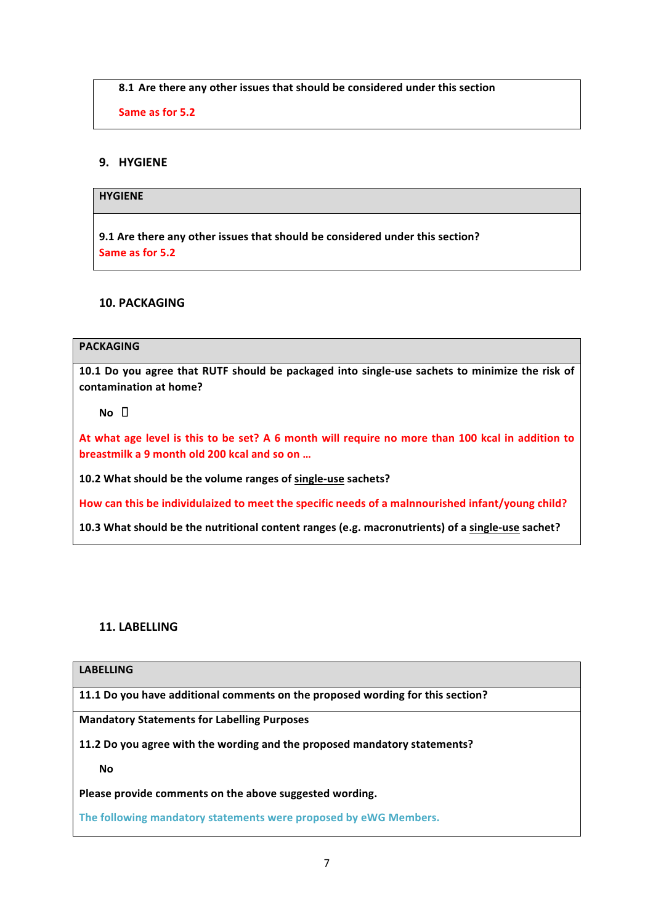**8.1** Are there any other issues that should be considered under this section

**Same as for 5.2**

## **9. HYGIENE**

#### **HYGIENE**

9.1 Are there any other issues that should be considered under this section? **Same as for 5.2**

#### **10. PACKAGING**

# **PACKAGING**

10.1 Do you agree that RUTF should be packaged into single-use sachets to minimize the risk of **contamination at home?**

 $No$   $\Box$ 

At what age level is this to be set? A 6 month will require no more than 100 kcal in addition to **breastmilk a 9 month old 200 kcal and so on ...** 

**10.2 What should be the volume ranges of single-use sachets?**

How can this be individulaized to meet the specific needs of a malnnourished infant/young child?

**10.3** What should be the nutritional content ranges (e.g. macronutrients) of a single-use sachet?

#### **11. LABELLING**

#### **LABELLING**

**11.1** Do you have additional comments on the proposed wording for this section?

**Mandatory Statements for Labelling Purposes**

**11.2** Do you agree with the wording and the proposed mandatory statements?

**No** 

Please provide comments on the above suggested wording.

The following mandatory statements were proposed by eWG Members.